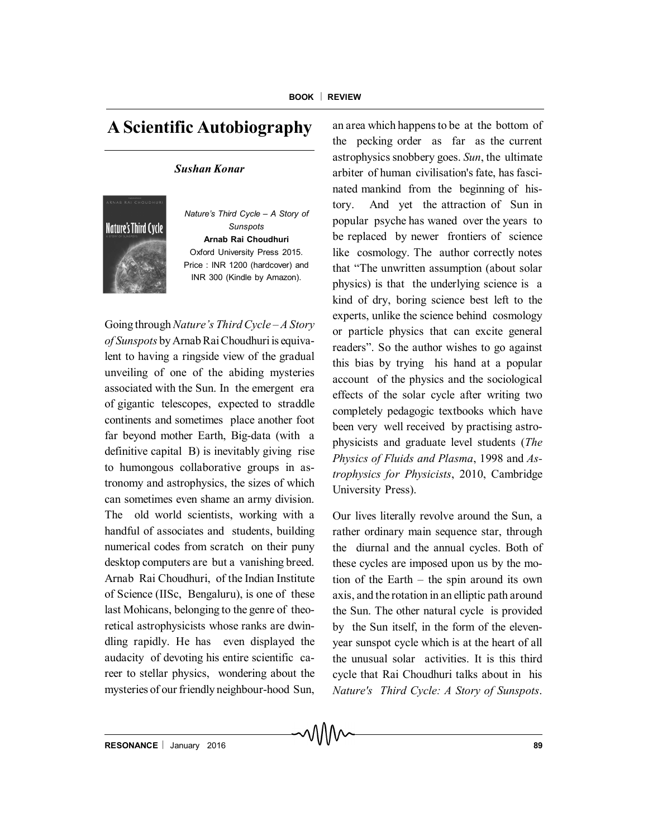## **A Scientific Autobiography**

## *Sushan Konar*



*Nature's Third Cycle – A Story of Sunspots* **Arnab Rai Choudhuri** Oxford University Press 2015. Price : INR 1200 (hardcover) and INR 300 (Kindle by Amazon).

Going through*Nature's Third Cycle – A Story of Sunspots* by Arnab Rai Choudhuri is equivalent to having a ringside view of the gradual unveiling of one of the abiding mysteries associated with the Sun. In the emergent era of gigantic telescopes, expected to straddle continents and sometimes place another foot far beyond mother Earth, Big-data (with a definitive capital B) is inevitably giving rise to humongous collaborative groups in astronomy and astrophysics, the sizes of which can sometimes even shame an army division. The old world scientists, working with a handful of associates and students, building numerical codes from scratch on their puny desktop computers are but a vanishing breed. Arnab Rai Choudhuri, of the Indian Institute of Science (IISc, Bengaluru), is one of these last Mohicans, belonging to the genre of theoretical astrophysicists whose ranks are dwindling rapidly. He has even displayed the audacity of devoting his entire scientific career to stellar physics, wondering about the mysteries of our friendly neighbour-hood Sun, an area which happens to be at the bottom of the pecking order as far as the current astrophysics snobbery goes. *Sun*, the ultimate arbiter of human civilisation's fate, has fascinated mankind from the beginning of history. And yet the attraction of Sun in popular psyche has waned over the years to be replaced by newer frontiers of science like cosmology. The author correctly notes that "The unwritten assumption (about solar physics) is that the underlying science is a kind of dry, boring science best left to the experts, unlike the science behind cosmology or particle physics that can excite general readers". So the author wishes to go against this bias by trying his hand at a popular account of the physics and the sociological effects of the solar cycle after writing two completely pedagogic textbooks which have been very well received by practising astrophysicists and graduate level students (*The Physics of Fluids and Plasma*, 1998 and *Astrophysics for Physicists*, 2010, Cambridge University Press).

Our lives literally revolve around the Sun, a rather ordinary main sequence star, through the diurnal and the annual cycles. Both of these cycles are imposed upon us by the motion of the Earth – the spin around its own axis, and the rotation in an elliptic path around the Sun. The other natural cycle is provided by the Sun itself, in the form of the elevenyear sunspot cycle which is at the heart of all the unusual solar activities. It is this third cycle that Rai Choudhuri talks about in his *Nature's Third Cycle: A Story of Sunspots*.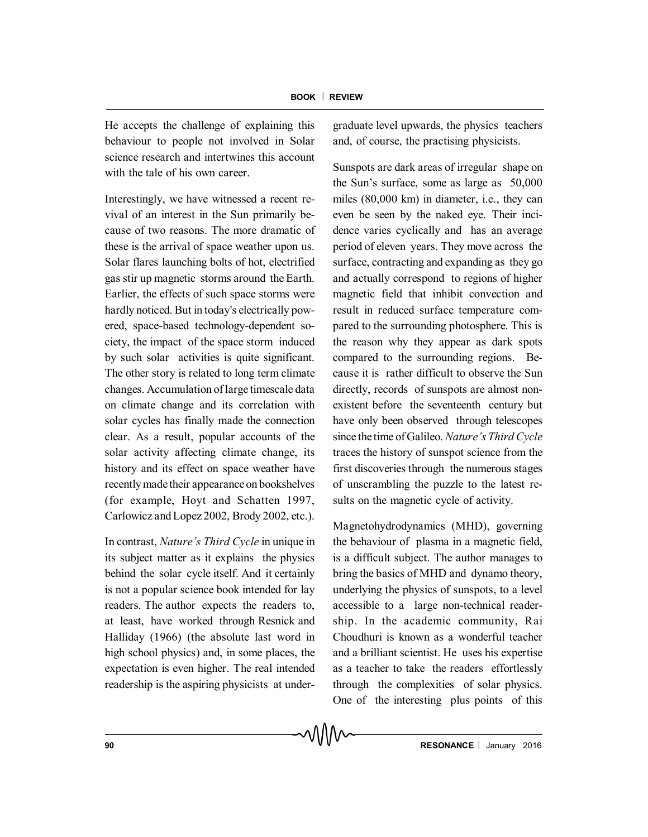He accepts the challenge of explaining this behaviour to people not involved in Solar science research and intertwines this account with the tale of his own career.

Interestingly, we have witnessed a recent revival of an interest in the Sun primarily because of two reasons. The more dramatic of these is the arrival of space weather upon us. Solar flares launching bolts of hot, electrified gas stir up magnetic storms around the Earth. Earlier, the effects of such space storms were hardly noticed. But in today's electrically powered, space-based technology-dependent society, the impact of the space storm induced by such solar activities is quite significant. The other story is related to long term climate changes. Accumulation of large timescale data on climate change and its correlation with solar cycles has finally made the connection clear. As a result, popular accounts of the solar activity affecting climate change, its history and its effect on space weather have recently madetheir appearance on bookshelves (for example, Hoyt and Schatten 1997, Carlowicz and Lopez 2002, Brody 2002, etc.).

In contrast, *Nature's Third Cycle* in unique in its subject matter as it explains the physics behind the solar cycle itself. And it certainly is not a popular science book intended for lay readers. The author expects the readers to, at least, have worked through Resnick and Halliday (1966) (the absolute last word in high school physics) and, in some places, the expectation is even higher. The real intended readership is the aspiring physicists at undergraduate level upwards, the physics teachers and, of course, the practising physicists.

Sunspots are dark areas of irregular shape on the Sun's surface, some as large as 50,000 miles (80,000 km) in diameter, i.e., they can even be seen by the naked eye. Their incidence varies cyclically and has an average period of eleven years. They move across the surface, contracting and expanding as they go and actually correspond to regions of higher magnetic field that inhibit convection and result in reduced surface temperature compared to the surrounding photosphere. This is the reason why they appear as dark spots compared to the surrounding regions. Because it is rather difficult to observe the Sun directly, records of sunspots are almost nonexistent before the seventeenth century but have only been observed through telescopes since thetime of Galileo. *Nature's Third Cycle* traces the history of sunspot science from the first discoveries through the numerous stages of unscrambling the puzzle to the latest results on the magnetic cycle of activity.

Magnetohydrodynamics (MHD), governing the behaviour of plasma in a magnetic field, is a difficult subject. The author manages to bring the basics of MHD and dynamo theory, underlying the physics of sunspots, to a level accessible to a large non-technical readership. In the academic community, Rai Choudhuri is known as a wonderful teacher and a brilliant scientist. He uses his expertise as a teacher to take the readers effortlessly through the complexities of solar physics. One of the interesting plus points of this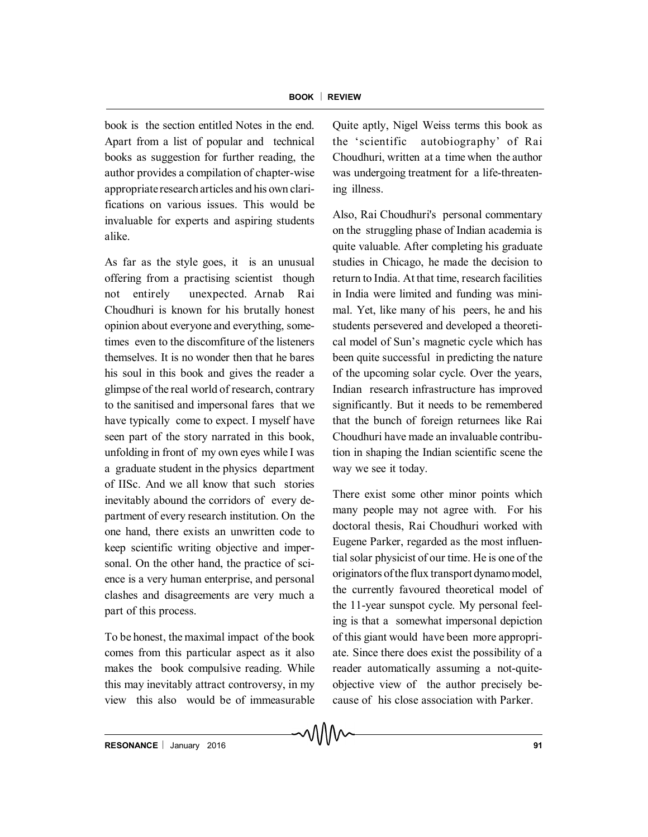book is the section entitled Notes in the end. Apart from a list of popular and technical books as suggestion for further reading, the author provides a compilation of chapter-wise appropriate research articles and his own clarifications on various issues. This would be invaluable for experts and aspiring students alike.

As far as the style goes, it is an unusual offering from a practising scientist though not entirely unexpected. Arnab Rai Choudhuri is known for his brutally honest opinion about everyone and everything, sometimes even to the discomfiture of the listeners themselves. It is no wonder then that he bares his soul in this book and gives the reader a glimpse of the real world of research, contrary to the sanitised and impersonal fares that we have typically come to expect. I myself have seen part of the story narrated in this book, unfolding in front of my own eyes while I was a graduate student in the physics department of IISc. And we all know that such stories inevitably abound the corridors of every department of every research institution. On the one hand, there exists an unwritten code to keep scientific writing objective and impersonal. On the other hand, the practice of science is a very human enterprise, and personal clashes and disagreements are very much a part of this process.

To be honest, the maximal impact of the book comes from this particular aspect as it also makes the book compulsive reading. While this may inevitably attract controversy, in my view this also would be of immeasurable Quite aptly, Nigel Weiss terms this book as the 'scientific autobiography' of Rai Choudhuri, written at a time when the author was undergoing treatment for a life-threatening illness.

Also, Rai Choudhuri's personal commentary on the struggling phase of Indian academia is quite valuable. After completing his graduate studies in Chicago, he made the decision to return to India. At that time, research facilities in India were limited and funding was minimal. Yet, like many of his peers, he and his students persevered and developed a theoretical model of Sun's magnetic cycle which has been quite successful in predicting the nature of the upcoming solar cycle. Over the years, Indian research infrastructure has improved significantly. But it needs to be remembered that the bunch of foreign returnees like Rai Choudhuri have made an invaluable contribution in shaping the Indian scientific scene the way we see it today.

There exist some other minor points which many people may not agree with. For his doctoral thesis, Rai Choudhuri worked with Eugene Parker, regarded as the most influential solar physicist of our time. He is one of the originators ofthe flux transport dynamo model, the currently favoured theoretical model of the 11-year sunspot cycle. My personal feeling is that a somewhat impersonal depiction of this giant would have been more appropriate. Since there does exist the possibility of a reader automatically assuming a not-quiteobjective view of the author precisely because of his close association with Parker.